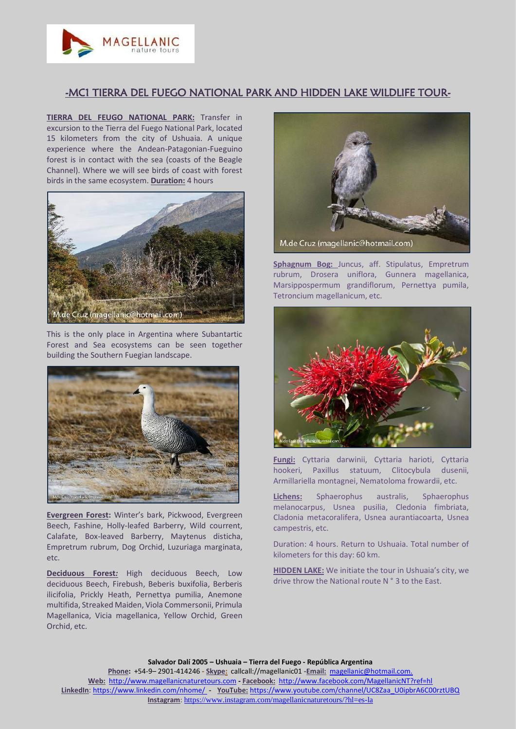

## -MC1 TIERRA DEL FUEGO NATIONAL PARK AND HIDDEN LAKE WILDLIFE TOUR-

**TIERRA DEL FEUGO NATIONAL PARK:** Transfer in excursion to the Tierra del Fuego National Park, located 15 kilometers from the city of Ushuaia. A unique experience where the Andean-Patagonian-Fueguino forest is in contact with the sea (coasts of the Beagle Channel). Where we will see birds of coast with forest birds in the same ecosystem. **Duration:** 4 hours



This is the only place in Argentina where Subantartic Forest and Sea ecosystems can be seen together building the Southern Fuegian landscape.



**Evergreen Forest:** Winter's bark, Pickwood, Evergreen Beech, Fashine, Holly-leafed Barberry, Wild courrent, Calafate, Box-leaved Barberry, Maytenus disticha, Empretrum rubrum, Dog Orchid, Luzuriaga marginata, etc.

**Deciduous Forest***:* High deciduous Beech, Low deciduous Beech, Firebush, Beberis buxifolia, Berberis ilicifolia, Prickly Heath, Pernettya pumilia, Anemone multifida, Streaked Maiden, Viola Commersonii, Primula Magellanica, Vicia magellanica, Yellow Orchid, Green Orchid, etc.



**Sphagnum Bog:** Juncus, aff. Stipulatus, Empretrum rubrum, Drosera uniflora, Gunnera magellanica, Marsippospermum grandiflorum, Pernettya pumila, Tetroncium magellanicum, etc.



**Fungi:** Cyttaria darwinii, Cyttaria harioti, Cyttaria hookeri, Paxillus statuum, Clitocybula dusenii, Armillariella montagnei, Nematoloma frowardii, etc.

**Lichens:** Sphaerophus australis, Sphaerophus melanocarpus, Usnea pusilia, Cledonia fimbriata, Cladonia metacoralifera, Usnea aurantiacoarta, Usnea campestris, etc.

Duration: 4 hours. Return to Ushuaia. Total number of kilometers for this day: 60 km.

**HIDDEN LAKE:** We initiate the tour in Ushuaia's city, we drive throw the National route N ° 3 to the East.

**Salvador Dalí 2005 – Ushuaia – Tierra del Fuego - República Argentina Phone:** +54-9– 2901-414246 **- Skype:** callcall://magellanic01 -**Email:** [magellanic@hotmail.com.](mailto:magellanic@hotmail.com.) **Web:** [http://www.magellanicnaturetours.com](http://www.magellanicnaturetours.com/) **- Facebook:** <http://www.facebook.com/MagellanicNT?ref=hl> **LinkedIn**: <https://www.linkedin.com/nhome/> - **YouTube:** [https://www.youtube.com/channel/UC8Zaa\\_U0ipbrA6C00rztUBQ](https://www.youtube.com/channel/UC8Zaa_U0ipbrA6C00rztUBQ) **Instagram**: <https://www.instagram.com/magellanicnaturetours/?hl=es-la>